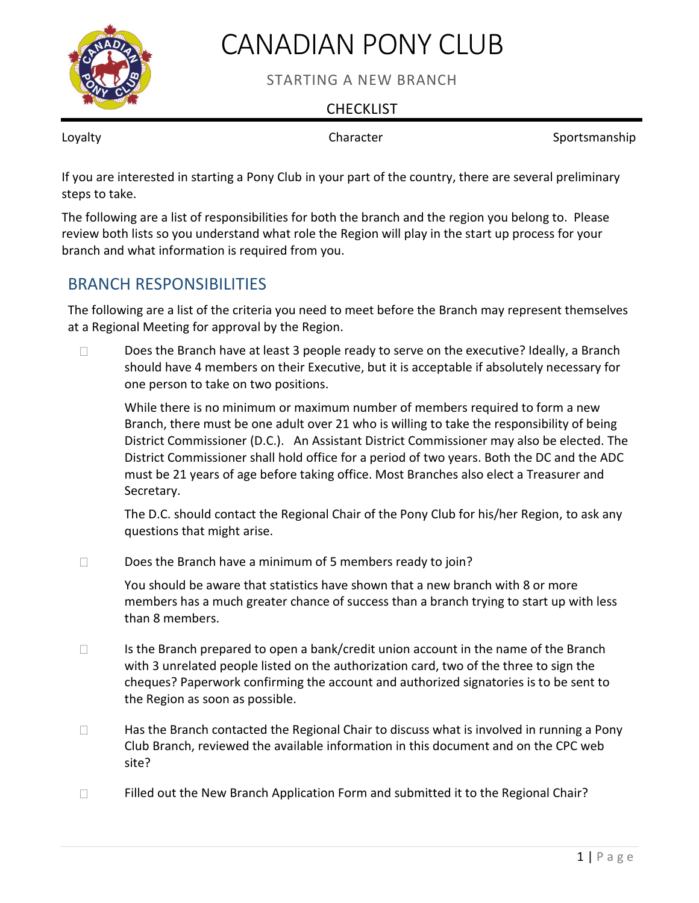

# CANADIAN PONY CLUB

STARTING A NEW BRANCH

### **CHECKLIST**

Loyalty **Character Character** Sportsmanship

If you are interested in starting a Pony Club in your part of the country, there are several preliminary steps to take.

The following are a list of responsibilities for both the branch and the region you belong to. Please review both lists so you understand what role the Region will play in the start up process for your branch and what information is required from you.

## BRANCH RESPONSIBILITIES

The following are a list of the criteria you need to meet before the Branch may represent themselves at a Regional Meeting for approval by the Region.

Does the Branch have at least 3 people ready to serve on the executive? Ideally, a Branch should have 4 members on their Executive, but it is acceptable if absolutely necessary for one person to take on two positions.

While there is no minimum or maximum number of members required to form a new Branch, there must be one adult over 21 who is willing to take the responsibility of being District Commissioner (D.C.). An Assistant District Commissioner may also be elected. The District Commissioner shall hold office for a period of two years. Both the DC and the ADC must be 21 years of age before taking office. Most Branches also elect a Treasurer and Secretary.

The D.C. should contact the Regional Chair of the Pony Club for his/her Region, to ask any questions that might arise.

 $\Box$  Does the Branch have a minimum of 5 members ready to join?

You should be aware that statistics have shown that a new branch with 8 or more members has a much greater chance of success than a branch trying to start up with less than 8 members.

- $\Box$  Is the Branch prepared to open a bank/credit union account in the name of the Branch with 3 unrelated people listed on the authorization card, two of the three to sign the cheques? Paperwork confirming the account and authorized signatories is to be sent to the Region as soon as possible.
- $\Box$  Has the Branch contacted the Regional Chair to discuss what is involved in running a Pony Club Branch, reviewed the available information in this document and on the CPC web site?
- $\Box$  Filled out the New Branch Application Form and submitted it to the Regional Chair?